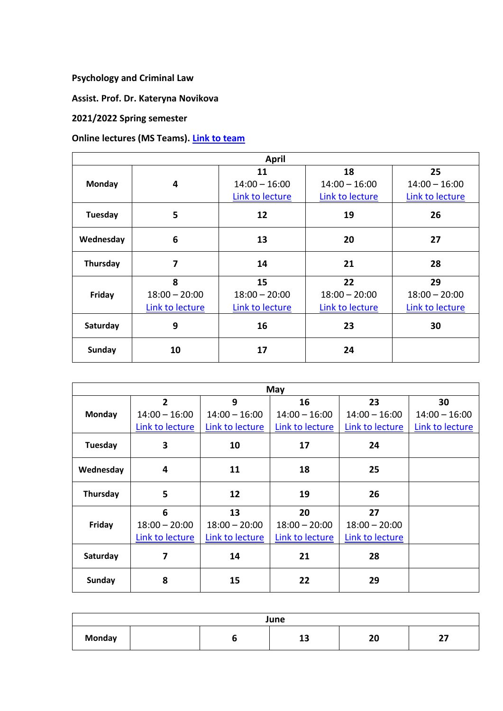**Psychology and Criminal Law**

**Assist. Prof. Dr. Kateryna Novikova**

## **2021/2022 Spring semester**

## **Online lectures (MS Teams). [Link to team](https://teams.microsoft.com/l/team/19%3a0_yowp_DgJ5dnIlCBMtKKTGBRh2n8RMGziyOdQLRGt01%40thread.tacv2/conversations?groupId=9848528c-52b8-42ce-a5cb-b85c84a08b4b&tenantId=82c51a82-548d-43ca-bcf9-bf4b7eb1d012)**

| <b>April</b>  |                                         |                                          |                                          |                                          |  |
|---------------|-----------------------------------------|------------------------------------------|------------------------------------------|------------------------------------------|--|
| <b>Monday</b> | 4                                       | 11<br>$14:00 - 16:00$<br>Link to lecture | 18<br>$14:00 - 16:00$<br>Link to lecture | 25<br>$14:00 - 16:00$<br>Link to lecture |  |
| Tuesday       | 5                                       | 12                                       | 19                                       | 26                                       |  |
| Wednesday     | 6                                       | 13                                       | 20                                       | 27                                       |  |
| Thursday      | 7                                       | 14                                       | 21                                       | 28                                       |  |
| Friday        | 8<br>$18:00 - 20:00$<br>Link to lecture | 15<br>$18:00 - 20:00$<br>Link to lecture | 22<br>$18:00 - 20:00$<br>Link to lecture | 29<br>$18:00 - 20:00$<br>Link to lecture |  |
| Saturday      | 9                                       | 16                                       | 23                                       | 30                                       |  |
| <b>Sunday</b> | 10                                      | 17                                       | 24                                       |                                          |  |

| May           |                 |                 |                 |                 |                 |  |
|---------------|-----------------|-----------------|-----------------|-----------------|-----------------|--|
|               | $\overline{2}$  | 9               | 16              | 23              | 30              |  |
| Monday        | $14:00 - 16:00$ | $14:00 - 16:00$ | $14:00 - 16:00$ | $14:00 - 16:00$ | $14:00 - 16:00$ |  |
|               | Link to lecture | Link to lecture | Link to lecture | Link to lecture | Link to lecture |  |
| Tuesday       | 3               | 10              | 17              | 24              |                 |  |
| Wednesday     | 4               | 11              | 18              | 25              |                 |  |
| Thursday      | 5               | 12              | 19              | 26              |                 |  |
| Friday        | 6               | 13              | 20              | 27              |                 |  |
|               | $18:00 - 20:00$ | $18:00 - 20:00$ | $18:00 - 20:00$ | $18:00 - 20:00$ |                 |  |
|               | Link to lecture | Link to lecture | Link to lecture | Link to lecture |                 |  |
| Saturday      | 7               | 14              | 21              | 28              |                 |  |
| <b>Sunday</b> | 8               | 15              | 22              | 29              |                 |  |

| June          |  |  |          |                    |               |
|---------------|--|--|----------|--------------------|---------------|
| <b>Monday</b> |  |  | 4.5<br>ᅩ | $\mathbf{r}$<br>δV | $\sim$<br>. . |